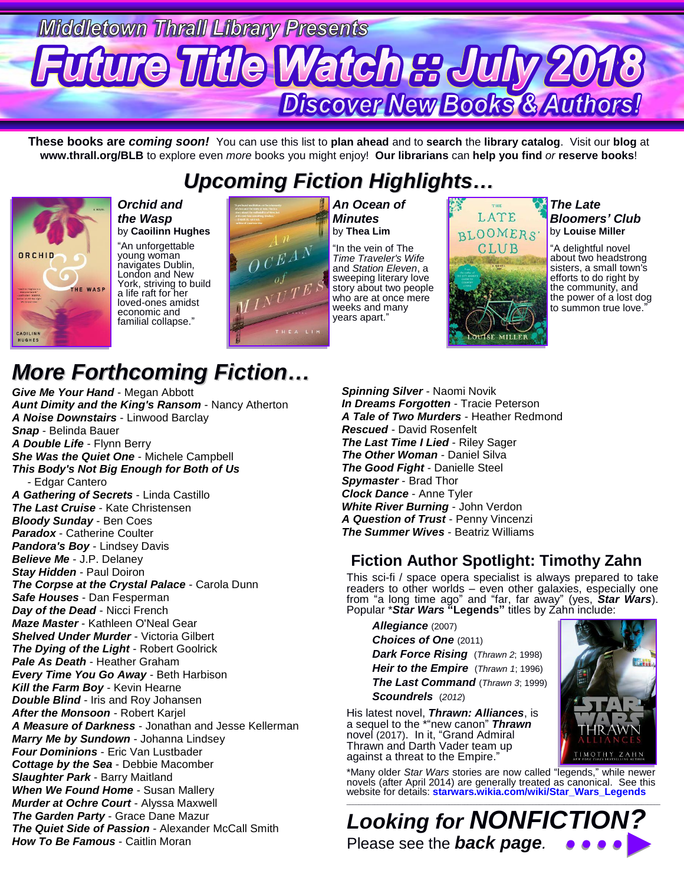# **Middletown Thrall Library Presents Future Title Watch & July 20t** Discover New Books & Authors!

**These books are** *coming soon!* You can use this list to **plan ahead** and to **search** the **library catalog**. Visit our **blog** at **www.thrall.org/BLB** to explore even *more* books you might enjoy! **Our librarians** can **help you find** *or* **reserve books**!

## *Upcoming Fiction Highlights…*



*Orchid and the Wasp* by **Caoilinn Hughes**

"An unforgettable young woman navigates Dublin, London and New York, striving to build a life raft for her loved-ones amidst economic and familial collapse."



*An Ocean of Minutes* by **Thea Lim**

"In the vein of The *Time Traveler's Wife* and *Station Eleven*, a sweeping literary love story about two people who are at once mere weeks and many vears apart.

# LATE BLOOMERS' CLUB

UISE MILLEI

*The Late Bloomers' Club* by **Louise Miller**

"A delightful novel about two headstrong sisters, a small town's efforts to do right by the community, and the power of a lost dog to summon true love.'

## *More Forthcoming Fiction…*

*Give Me Your Hand* - Megan Abbott *Aunt Dimity and the King's Ransom* - Nancy Atherton *A Noise Downstairs* - Linwood Barclay *Snap* - Belinda Bauer *A Double Life* - Flynn Berry *She Was the Quiet One* - Michele Campbell *This Body's Not Big Enough for Both of Us* - Edgar Cantero *A Gathering of Secrets* - Linda Castillo *The Last Cruise* - Kate Christensen *Bloody Sunday* - Ben Coes *Paradox* - Catherine Coulter *Pandora's Boy* - Lindsey Davis *Believe Me* - J.P. Delaney *Stay Hidden* - Paul Doiron *The Corpse at the Crystal Palace* - Carola Dunn *Safe Houses* - Dan Fesperman *Day of the Dead* - Nicci French *Maze Master* - Kathleen O'Neal Gear *Shelved Under Murder* - Victoria Gilbert *The Dying of the Light* - Robert Goolrick *Pale As Death* - Heather Graham *Every Time You Go Away* - Beth Harbison *Kill the Farm Boy* - Kevin Hearne *Double Blind* - Iris and Roy Johansen *After the Monsoon* - Robert Karjel *A Measure of Darkness* - Jonathan and Jesse Kellerman *Marry Me by Sundown* - Johanna Lindsey *Four Dominions* - Eric Van Lustbader *Cottage by the Sea* - Debbie Macomber *Slaughter Park* - Barry Maitland *When We Found Home* - Susan Mallery *Murder at Ochre Court* - Alyssa Maxwell *The Garden Party* - Grace Dane Mazur *The Quiet Side of Passion* - Alexander McCall Smith *How To Be Famous* - Caitlin Moran

*Spinning Silver* - Naomi Novik *In Dreams Forgotten* - Tracie Peterson *A Tale of Two Murders* - Heather Redmond *Rescued* - David Rosenfelt *The Last Time I Lied* - Riley Sager *The Other Woman* - Daniel Silva *The Good Fight* - Danielle Steel *Spymaster* - Brad Thor *Clock Dance* - Anne Tyler *White River Burning* - John Verdon *A Question of Trust* - Penny Vincenzi *The Summer Wives* - Beatriz Williams

#### **Fiction Author Spotlight: Timothy Zahn**

This sci-fi / space opera specialist is always prepared to take readers to other worlds – even other galaxies, especially one from "a long time ago" and "far, far away" (yes, *Star Wars*). Popular \**Star Wars* **"Legends"** titles by Zahn include:

*Allegiance* (2007) **Choices of One (2011)** *Dark Force Rising* (*Thrawn 2*; 1998) *Heir to the Empire* (*Thrawn 1*; 1996) *The Last Command* (*Thrawn 3*; 1999) *Scoundrels* (*2012*)

His latest novel, *Thrawn: Alliances*, is a sequel to the \*"new canon" *Thrawn* novel (2017). In it, "Grand Admiral Thrawn and Darth Vader team up against a threat to the Empire."

\*Many older *Star Wars* stories are now called "legends," while newer novels (after April 2014) are generally treated as canonical. See this website for details: **[starwars.wikia.com/wiki/Star\\_Wars\\_Legends](http://starwars.wikia.com/wiki/Star_Wars_Legends)**